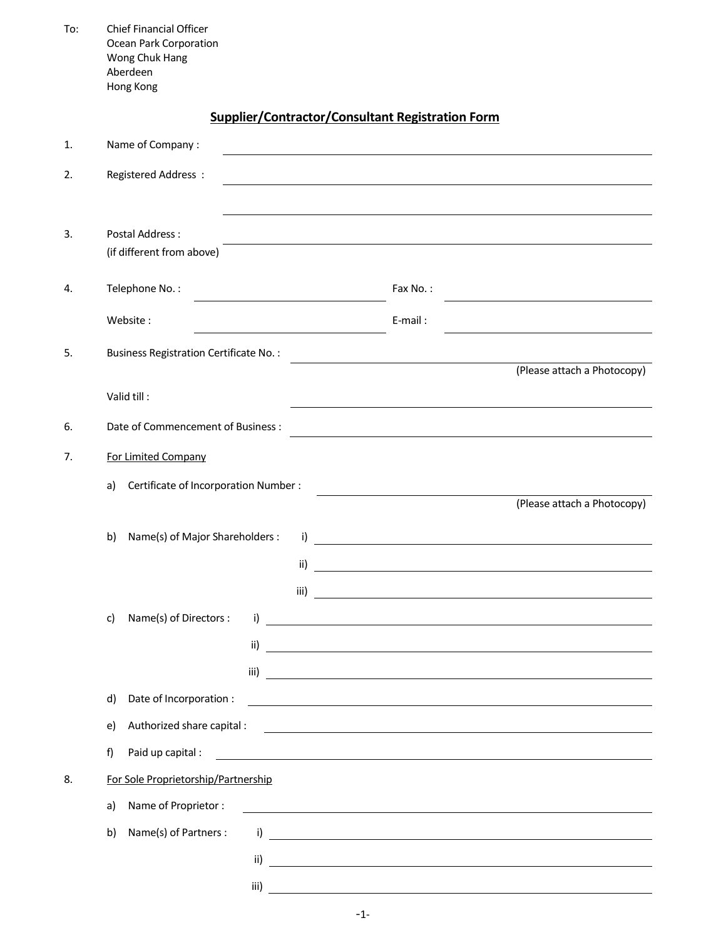| To: | <b>Chief Financial Officer</b><br>Ocean Park Corporation<br>Wong Chuk Hang<br>Aberdeen<br>Hong Kong |                                                                                                                      |                                                                                                                        |  |  |
|-----|-----------------------------------------------------------------------------------------------------|----------------------------------------------------------------------------------------------------------------------|------------------------------------------------------------------------------------------------------------------------|--|--|
|     |                                                                                                     | <b>Supplier/Contractor/Consultant Registration Form</b>                                                              |                                                                                                                        |  |  |
| 1.  | Name of Company:                                                                                    |                                                                                                                      |                                                                                                                        |  |  |
| 2.  | Registered Address:                                                                                 |                                                                                                                      |                                                                                                                        |  |  |
| 3.  | <b>Postal Address:</b><br>(if different from above)                                                 |                                                                                                                      |                                                                                                                        |  |  |
| 4.  | Telephone No.:                                                                                      | Fax No.:                                                                                                             |                                                                                                                        |  |  |
|     | Website:                                                                                            | E-mail:                                                                                                              |                                                                                                                        |  |  |
| 5.  | <b>Business Registration Certificate No.:</b>                                                       |                                                                                                                      |                                                                                                                        |  |  |
|     | Valid till:                                                                                         |                                                                                                                      | (Please attach a Photocopy)                                                                                            |  |  |
| 6.  | Date of Commencement of Business :                                                                  |                                                                                                                      |                                                                                                                        |  |  |
| 7.  | For Limited Company                                                                                 |                                                                                                                      |                                                                                                                        |  |  |
|     | Certificate of Incorporation Number :<br>a)                                                         |                                                                                                                      |                                                                                                                        |  |  |
|     | Name(s) of Major Shareholders :<br>b)<br>i)<br>ii)<br>iii)                                          |                                                                                                                      | (Please attach a Photocopy)                                                                                            |  |  |
|     | Name(s) of Directors :<br>c)<br>i)                                                                  |                                                                                                                      |                                                                                                                        |  |  |
|     | ii)                                                                                                 |                                                                                                                      |                                                                                                                        |  |  |
|     | iii)                                                                                                |                                                                                                                      |                                                                                                                        |  |  |
|     | Date of Incorporation :<br>d)                                                                       |                                                                                                                      | <u> 1989 - Johann Stoff, deutscher Stoffen und der Stoffen und der Stoffen und der Stoffen und der Stoffen und der</u> |  |  |
|     | Authorized share capital :<br>e)                                                                    |                                                                                                                      | and the control of the control of the control of the control of the control of the control of the control of the       |  |  |
|     | f)<br>Paid up capital :                                                                             | <u> 1989 - Johann Barn, amerikan besteman besteman besteman besteman besteman besteman besteman besteman bestema</u> |                                                                                                                        |  |  |
| 8.  | For Sole Proprietorship/Partnership                                                                 |                                                                                                                      |                                                                                                                        |  |  |
|     | Name of Proprietor:<br>a)                                                                           |                                                                                                                      |                                                                                                                        |  |  |
|     | Name(s) of Partners :<br>b)<br>i)                                                                   |                                                                                                                      | <u> 1989 - Jan Barbara (j. 1989)</u>                                                                                   |  |  |
|     | ii)                                                                                                 |                                                                                                                      |                                                                                                                        |  |  |
|     | iii)                                                                                                |                                                                                                                      |                                                                                                                        |  |  |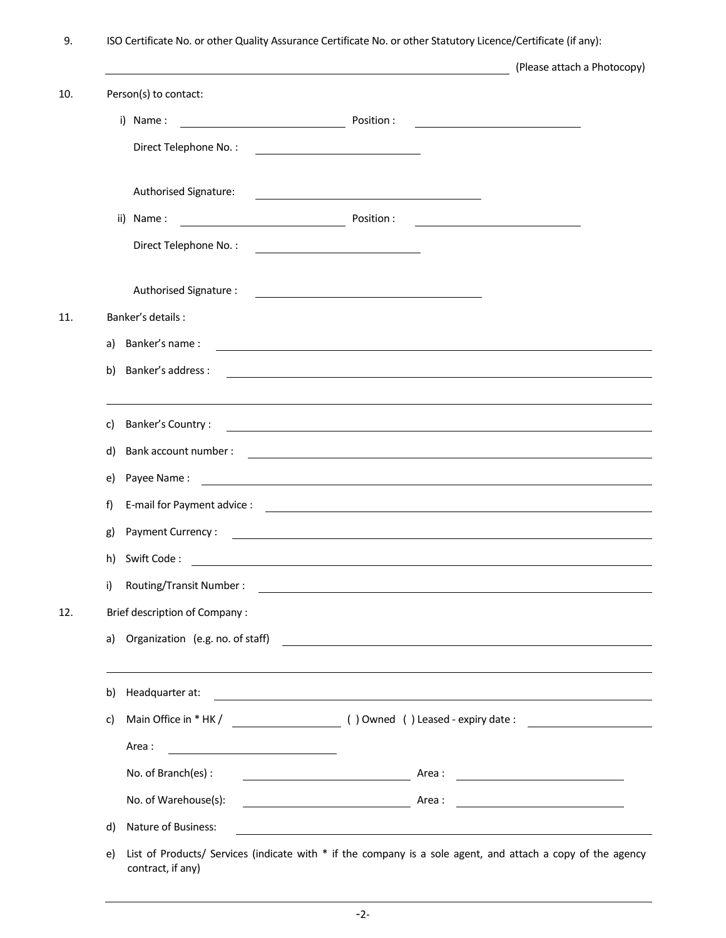9. ISO Certificate No. or other Quality Assurance Certificate No. or other Statutory Licence/Certificate (if any):

|     |                                                                        | (Please attach a Photocopy)                                                                                          |
|-----|------------------------------------------------------------------------|----------------------------------------------------------------------------------------------------------------------|
| 10. | Person(s) to contact:                                                  |                                                                                                                      |
|     | i) Name:<br><u> 1980 - Johann Barbara, martx</u>                       | Position:                                                                                                            |
|     | Direct Telephone No.:                                                  | <u> 1989 - Johann Barbara, martxa alemaniar a</u>                                                                    |
|     | Authorised Signature:                                                  |                                                                                                                      |
|     | ii) Name:<br><u> 1989 - Johann Barn, mars eta bainar eta idazlea (</u> | Position:                                                                                                            |
|     | Direct Telephone No.:                                                  | <u> 1989 - Johann Barn, mars eta bat erroman erroman erroman erroman erroman erroman erroman erroman erroman err</u> |
|     | Authorised Signature :                                                 |                                                                                                                      |
| 11. | Banker's details :                                                     |                                                                                                                      |
|     | Banker's name:<br>a)                                                   | <u> 1989 - Johann Stoff, amerikansk politiker (* 1908)</u>                                                           |
|     | Banker's address :<br>b)                                               | <u> 1980 - Johann Stoff, deutscher Stoffen und der Stoffen und der Stoffen und der Stoffen und der Stoffen und d</u> |
|     | Banker's Country:<br>C)                                                | <u> 1980 - Johann Stein, mars an de Frans and de Frans and de Frans and de Frans and de Frans and de Frans and d</u> |
|     | Bank account number :<br>d)                                            | <u> 1989 - Johann John Stein, fransk politik (f. 1989)</u>                                                           |
|     | Payee Name:<br>e)                                                      | <u> 1989 - Jan Sterlinger, skriuwer fan it ferstjer fan it ferstjer fan it ferstjer fan it ferstjer fan it ferst</u> |
|     | f)                                                                     |                                                                                                                      |
|     | Payment Currency:<br>g)                                                |                                                                                                                      |
|     | Swift Code:<br>h)                                                      |                                                                                                                      |
|     | Routing/Transit Number:<br>i)                                          |                                                                                                                      |
| 12. | <b>Brief description of Company:</b>                                   |                                                                                                                      |
|     | Organization (e.g. no. of staff)<br>a)                                 |                                                                                                                      |
|     | Headquarter at:<br>b)                                                  |                                                                                                                      |
|     | c)                                                                     |                                                                                                                      |
|     | Area:                                                                  |                                                                                                                      |
|     | No. of Branch(es):                                                     |                                                                                                                      |
|     | No. of Warehouse(s):                                                   | <u> 1989 - Johann Barbara, martin a</u>                                                                              |
|     | Nature of Business:<br>d)                                              | <u> 1989 - Johann Barbara, marka a shekara tsa 1989 - An tsa 1989 - An tsa 1989 - An tsa 1989 - An tsa 1989 - An</u> |
|     | e)<br>contract, if any)                                                | List of Products/ Services (indicate with * if the company is a sole agent, and attach a copy of the agency          |